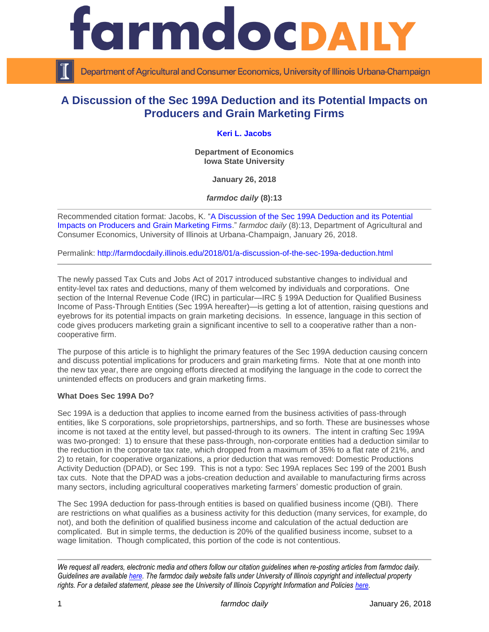

Department of Agricultural and Consumer Economics, University of Illinois Urbana-Champaign

# **A Discussion of the Sec 199A Deduction and its Potential Impacts on Producers and Grain Marketing Firms**

## **[Keri L. Jacobs](https://www.econ.iastate.edu/people/keri-jacobs)**

**Department of Economics Iowa State University**

**January 26, 2018**

*farmdoc daily* **(8):13**

Recommended citation format: Jacobs, K. ["A Discussion of the Sec 199A Deduction and its Potential](http://farmdocdaily.illinois.edu/2018/01/a-discussion-of-the-sec-199a-deduction.html)  [Impacts on Producers and Grain Marketing Firms.](http://farmdocdaily.illinois.edu/2018/01/a-discussion-of-the-sec-199a-deduction.html)" *farmdoc daily* (8):13, Department of Agricultural and Consumer Economics, University of Illinois at Urbana-Champaign, January 26, 2018.

Permalink:<http://farmdocdaily.illinois.edu/2018/01/a-discussion-of-the-sec-199a-deduction.html>

The newly passed Tax Cuts and Jobs Act of 2017 introduced substantive changes to individual and entity-level tax rates and deductions, many of them welcomed by individuals and corporations. One section of the Internal Revenue Code (IRC) in particular—IRC § 199A Deduction for Qualified Business Income of Pass-Through Entities (Sec 199A hereafter)—is getting a lot of attention, raising questions and eyebrows for its potential impacts on grain marketing decisions. In essence, language in this section of code gives producers marketing grain a significant incentive to sell to a cooperative rather than a noncooperative firm.

The purpose of this article is to highlight the primary features of the Sec 199A deduction causing concern and discuss potential implications for producers and grain marketing firms. Note that at one month into the new tax year, there are ongoing efforts directed at modifying the language in the code to correct the unintended effects on producers and grain marketing firms.

#### **What Does Sec 199A Do?**

Sec 199A is a deduction that applies to income earned from the business activities of pass-through entities, like S corporations, sole proprietorships, partnerships, and so forth. These are businesses whose income is not taxed at the entity level, but passed-through to its owners. The intent in crafting Sec 199A was two-pronged: 1) to ensure that these pass-through, non-corporate entities had a deduction similar to the reduction in the corporate tax rate, which dropped from a maximum of 35% to a flat rate of 21%, and 2) to retain, for cooperative organizations, a prior deduction that was removed: Domestic Productions Activity Deduction (DPAD), or Sec 199. This is not a typo: Sec 199A replaces Sec 199 of the 2001 Bush tax cuts. Note that the DPAD was a jobs-creation deduction and available to manufacturing firms across many sectors, including agricultural cooperatives marketing farmers' domestic production of grain.

The Sec 199A deduction for pass-through entities is based on qualified business income (QBI). There are restrictions on what qualifies as a business activity for this deduction (many services, for example, do not), and both the definition of qualified business income and calculation of the actual deduction are complicated. But in simple terms, the deduction is 20% of the qualified business income, subset to a wage limitation. Though complicated, this portion of the code is not contentious.

*We request all readers, electronic media and others follow our citation guidelines when re-posting articles from farmdoc daily. Guidelines are available [here.](http://farmdocdaily.illinois.edu/citationguide.html) The farmdoc daily website falls under University of Illinois copyright and intellectual property rights. For a detailed statement, please see the University of Illinois Copyright Information and Policies [here.](http://www.cio.illinois.edu/policies/copyright/)*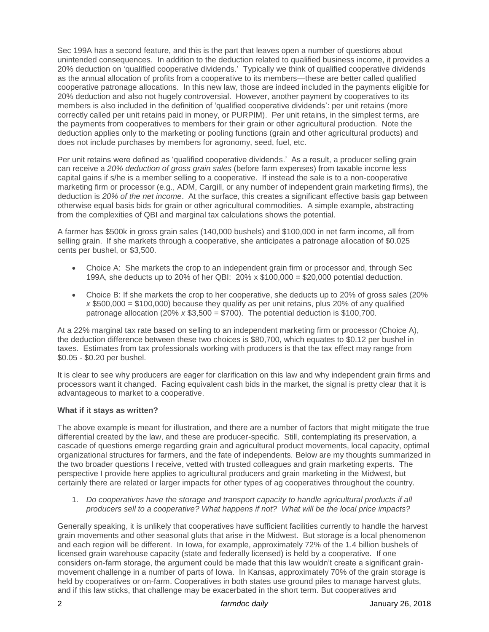Sec 199A has a second feature, and this is the part that leaves open a number of questions about unintended consequences. In addition to the deduction related to qualified business income, it provides a 20% deduction on 'qualified cooperative dividends.' Typically we think of qualified cooperative dividends as the annual allocation of profits from a cooperative to its members—these are better called qualified cooperative patronage allocations. In this new law, those are indeed included in the payments eligible for 20% deduction and also not hugely controversial. However, another payment by cooperatives to its members is also included in the definition of 'qualified cooperative dividends': per unit retains (more correctly called per unit retains paid in money, or PURPIM). Per unit retains, in the simplest terms, are the payments from cooperatives to members for their grain or other agricultural production. Note the deduction applies only to the marketing or pooling functions (grain and other agricultural products) and does not include purchases by members for agronomy, seed, fuel, etc.

Per unit retains were defined as 'qualified cooperative dividends.' As a result, a producer selling grain can receive a *20% deduction of gross grain sales* (before farm expenses) from taxable income less capital gains if s/he is a member selling to a cooperative. If instead the sale is to a non-cooperative marketing firm or processor (e.g., ADM, Cargill, or any number of independent grain marketing firms), the deduction is *20% of the net income*. At the surface, this creates a significant effective basis gap between otherwise equal basis bids for grain or other agricultural commodities. A simple example, abstracting from the complexities of QBI and marginal tax calculations shows the potential.

A farmer has \$500k in gross grain sales (140,000 bushels) and \$100,000 in net farm income, all from selling grain. If she markets through a cooperative, she anticipates a patronage allocation of \$0.025 cents per bushel, or \$3,500.

- Choice A: She markets the crop to an independent grain firm or processor and, through Sec 199A, she deducts up to 20% of her QBI:  $20\%$  x \$100,000 = \$20,000 potential deduction.
- Choice B: If she markets the crop to her cooperative, she deducts up to 20% of gross sales (20%  $x$  \$500,000 = \$100,000) because they qualify as per unit retains, plus 20% of any qualified patronage allocation (20% *x* \$3,500 = \$700). The potential deduction is \$100,700.

At a 22% marginal tax rate based on selling to an independent marketing firm or processor (Choice A), the deduction difference between these two choices is \$80,700, which equates to \$0.12 per bushel in taxes. Estimates from tax professionals working with producers is that the tax effect may range from \$0.05 - \$0.20 per bushel.

It is clear to see why producers are eager for clarification on this law and why independent grain firms and processors want it changed. Facing equivalent cash bids in the market, the signal is pretty clear that it is advantageous to market to a cooperative.

## **What if it stays as written?**

The above example is meant for illustration, and there are a number of factors that might mitigate the true differential created by the law, and these are producer-specific. Still, contemplating its preservation, a cascade of questions emerge regarding grain and agricultural product movements, local capacity, optimal organizational structures for farmers, and the fate of independents. Below are my thoughts summarized in the two broader questions I receive, vetted with trusted colleagues and grain marketing experts. The perspective I provide here applies to agricultural producers and grain marketing in the Midwest, but certainly there are related or larger impacts for other types of ag cooperatives throughout the country.

1. *Do cooperatives have the storage and transport capacity to handle agricultural products if all producers sell to a cooperative? What happens if not? What will be the local price impacts?*

Generally speaking, it is unlikely that cooperatives have sufficient facilities currently to handle the harvest grain movements and other seasonal gluts that arise in the Midwest. But storage is a local phenomenon and each region will be different. In Iowa, for example, approximately 72% of the 1.4 billion bushels of licensed grain warehouse capacity (state and federally licensed) is held by a cooperative. If one considers on-farm storage, the argument could be made that this law wouldn't create a significant grainmovement challenge in a number of parts of Iowa. In Kansas, approximately 70% of the grain storage is held by cooperatives or on-farm. Cooperatives in both states use ground piles to manage harvest gluts, and if this law sticks, that challenge may be exacerbated in the short term. But cooperatives and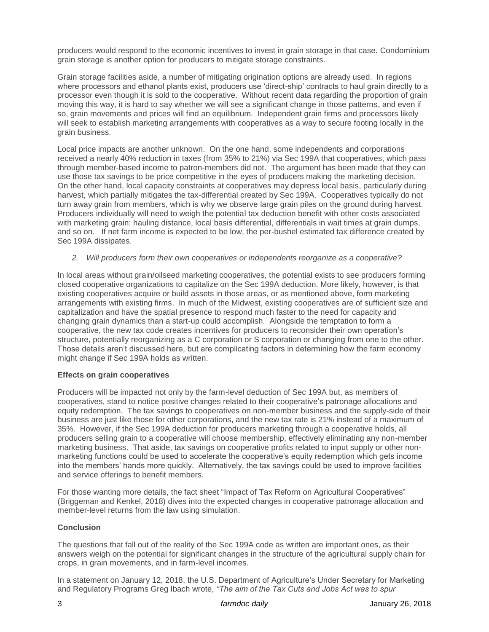producers would respond to the economic incentives to invest in grain storage in that case. Condominium grain storage is another option for producers to mitigate storage constraints.

Grain storage facilities aside, a number of mitigating origination options are already used. In regions where processors and ethanol plants exist, producers use 'direct-ship' contracts to haul grain directly to a processor even though it is sold to the cooperative. Without recent data regarding the proportion of grain moving this way, it is hard to say whether we will see a significant change in those patterns, and even if so, grain movements and prices will find an equilibrium. Independent grain firms and processors likely will seek to establish marketing arrangements with cooperatives as a way to secure footing locally in the grain business.

Local price impacts are another unknown. On the one hand, some independents and corporations received a nearly 40% reduction in taxes (from 35% to 21%) via Sec 199A that cooperatives, which pass through member-based income to patron-members did not. The argument has been made that they can use those tax savings to be price competitive in the eyes of producers making the marketing decision. On the other hand, local capacity constraints at cooperatives may depress local basis, particularly during harvest, which partially mitigates the tax-differential created by Sec 199A. Cooperatives typically do not turn away grain from members, which is why we observe large grain piles on the ground during harvest. Producers individually will need to weigh the potential tax deduction benefit with other costs associated with marketing grain: hauling distance, local basis differential, differentials in wait times at grain dumps, and so on. If net farm income is expected to be low, the per-bushel estimated tax difference created by Sec 199A dissipates.

#### *2. Will producers form their own cooperatives or independents reorganize as a cooperative?*

In local areas without grain/oilseed marketing cooperatives, the potential exists to see producers forming closed cooperative organizations to capitalize on the Sec 199A deduction. More likely, however, is that existing cooperatives acquire or build assets in those areas, or as mentioned above, form marketing arrangements with existing firms. In much of the Midwest, existing cooperatives are of sufficient size and capitalization and have the spatial presence to respond much faster to the need for capacity and changing grain dynamics than a start-up could accomplish. Alongside the temptation to form a cooperative, the new tax code creates incentives for producers to reconsider their own operation's structure, potentially reorganizing as a C corporation or S corporation or changing from one to the other. Those details aren't discussed here, but are complicating factors in determining how the farm economy might change if Sec 199A holds as written.

#### **Effects on grain cooperatives**

Producers will be impacted not only by the farm-level deduction of Sec 199A but, as members of cooperatives, stand to notice positive changes related to their cooperative's patronage allocations and equity redemption. The tax savings to cooperatives on non-member business and the supply-side of their business are just like those for other corporations, and the new tax rate is 21% instead of a maximum of 35%. However, if the Sec 199A deduction for producers marketing through a cooperative holds, all producers selling grain to a cooperative will choose membership, effectively eliminating any non-member marketing business. That aside, tax savings on cooperative profits related to input supply or other nonmarketing functions could be used to accelerate the cooperative's equity redemption which gets income into the members' hands more quickly. Alternatively, the tax savings could be used to improve facilities and service offerings to benefit members.

For those wanting more details, the fact sheet "Impact of Tax Reform on Agricultural Cooperatives" (Briggeman and Kenkel, 2018) dives into the expected changes in cooperative patronage allocation and member-level returns from the law using simulation.

### **Conclusion**

The questions that fall out of the reality of the Sec 199A code as written are important ones, as their answers weigh on the potential for significant changes in the structure of the agricultural supply chain for crops, in grain movements, and in farm-level incomes.

In a statement on January 12, 2018, the U.S. Department of Agriculture's Under Secretary for Marketing and Regulatory Programs Greg Ibach wrote, *"The aim of the Tax Cuts and Jobs Act was to spur*